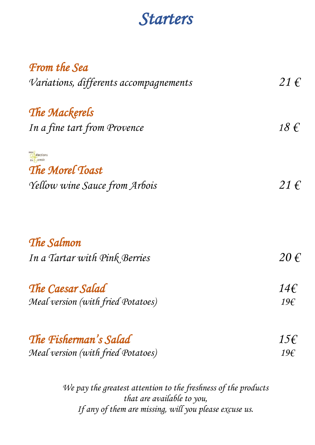## *Starters*

| <b>From the Sea</b>                    |                   |
|----------------------------------------|-------------------|
| Variations, differents accompagnements | $21 \in$          |
| The Mackerels                          |                   |
| In a fine tart from Provence           | $18 \text{ } f$   |
| elections<br>$du$ erroir               |                   |
| The Morel Toast                        |                   |
| Yellow wine Sauce from Arbois          | $21 \in$          |
| The Salmon                             |                   |
| In a Tartar with Pink Berries          | $20 \text{ } \in$ |
| The Caesar Salad                       | 146               |
| Meal version (with fried Potatoes)     | 19€               |
| The Fisherman's Salad                  | $15\epsilon$      |
|                                        |                   |
| Meal version (with fried Potatoes)     | 19€               |

*We pay the greatest attention to the freshness of the products that are available to you, If any of them are missing, will you please excuse us.*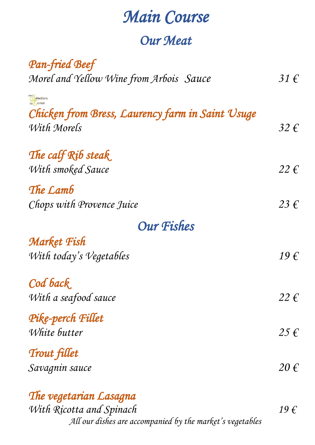## *Main Course*

#### *Our Meat*

| <b>Pan-fried Beef</b>                            |                   |
|--------------------------------------------------|-------------------|
| Morel and Yellow Wine from Arbois Sauce          | $31 \in$          |
| elections                                        |                   |
| Chicken from Bress, Laurency farm in Saint Usuge |                   |
| With Morels                                      | 32 f              |
|                                                  |                   |
| The calf Rib steak                               |                   |
| With smoked Sauce                                | $22 \in$          |
| The Lamb                                         |                   |
| Chops with Provence Juice                        | $23 \in$          |
|                                                  |                   |
| <b>Our Fishes</b>                                |                   |
| <b>Market Fish</b>                               |                   |
| With today's Vegetables                          | $19 \in$          |
| Cod back                                         |                   |
| With a seafood sauce                             | $22 \in$          |
| Pike-perch Fillet                                |                   |
| White butter                                     | $25 \in$          |
|                                                  |                   |
| <b>Trout fillet</b>                              |                   |
| Savagnin sauce                                   | $20 \text{ } \in$ |
| The vegetarian Lasagna                           |                   |

*With Ricotta and Spinach 19 € All our dishes are accompanied by the market's vegetables*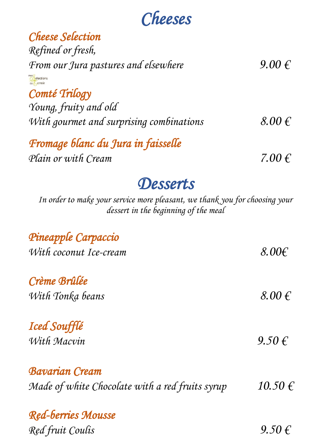# *Cheeses*

| <b>Cheese Selection</b>                         |            |
|-------------------------------------------------|------------|
| Refined or fresh,                               |            |
| From our Jura pastures and elsewhere            | $9.00 \in$ |
| mes<br><b><i>A</i></b> élections<br>$du$ erroir |            |
| Comté Trilogy                                   |            |
| Young, fruity and old                           |            |
| With gourmet and surprising combinations        | $8.00 \in$ |
| Fromage blanc du Jura in faisselle              |            |
| Plain or with Cream                             | 7.00 $\in$ |
|                                                 |            |

## *Desserts*

*In order to make your service more pleasant, we thank you for choosing your dessert in the beginning of the meal*

| Pineapple Carpaccio                             |                     |
|-------------------------------------------------|---------------------|
| With coconut Ice-cream                          | $8.00 \epsilon$     |
| Crème Brûlée                                    |                     |
| With Tonka beans                                | $8.00 \text{ } \in$ |
| <b>Iced Soufflé</b>                             |                     |
| With Macvin                                     | 9.50 f              |
| <b>Bavarian Cream</b>                           |                     |
| Made of white Chocolate with a red fruits syrup | $10.50 \in$         |
| <b>Red-berries Mousse</b>                       |                     |
| Red fruit Coulis                                | $9.50 \in$          |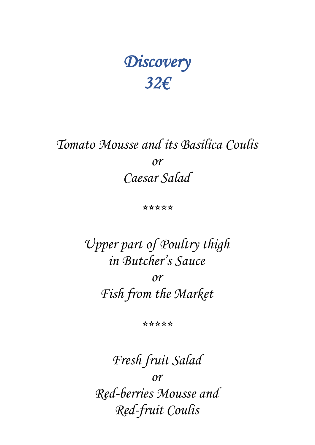# *Discovery 32€*

#### *Tomato Mousse and its Basilica Coulis or Caesar Salad*

*\*\*\*\*\**

*Upper part of Poultry thigh in Butcher's Sauce or Fish from the Market*

*\*\*\*\*\**

*Fresh fruit Salad or Red-berries Mousse and Red-fruit Coulis*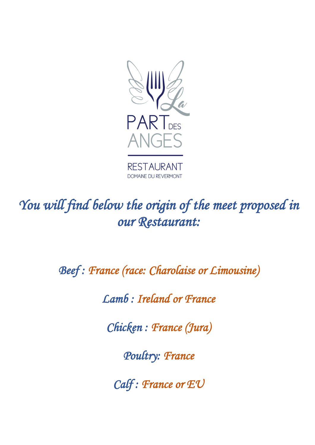

*You will find below the origin of the meet proposed in our Restaurant:* 

*Beef : France (race: Charolaise or Limousine)* 

*Lamb : Ireland or France* 

*Chicken : France (Jura)* 

*Poultry: France* 

*Calf : France or EU*